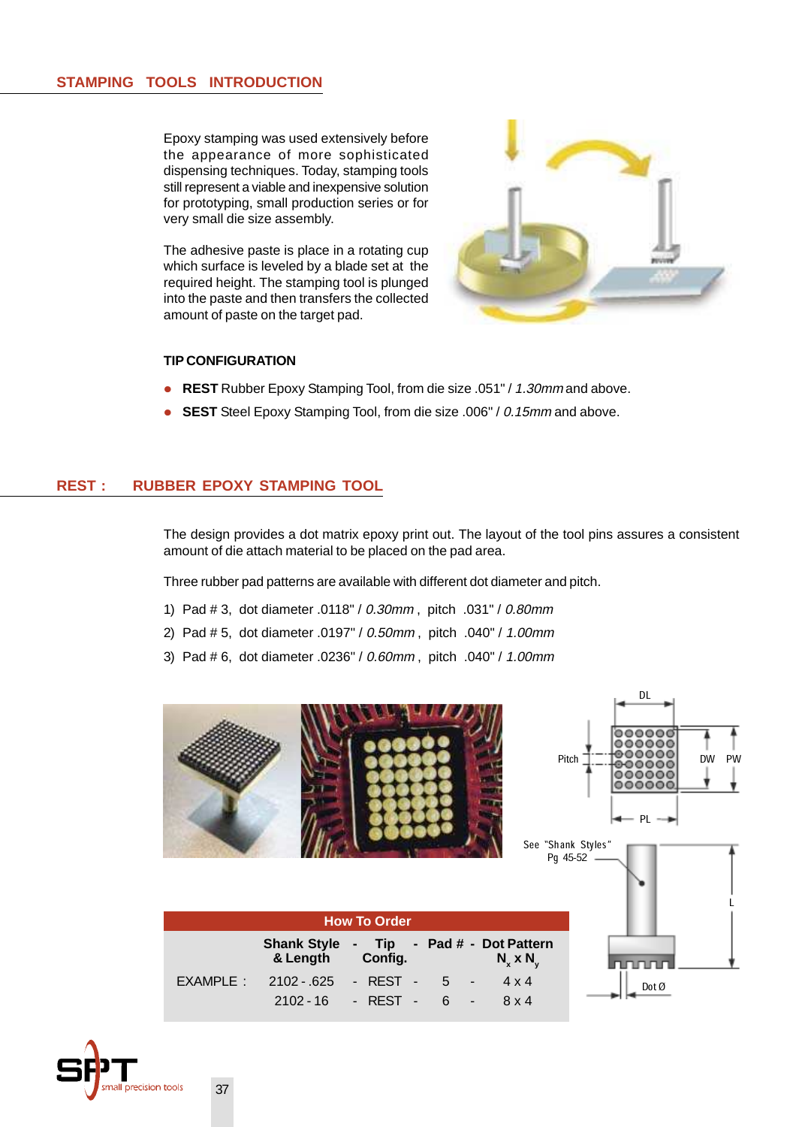## **STAMPING TOOLS INTRODUCTION**

Epoxy stamping was used extensively before the appearance of more sophisticated dispensing techniques. Today, stamping tools still represent a viable and inexpensive solution for prototyping, small production series or for very small die size assembly.

The adhesive paste is place in a rotating cup which surface is leveled by a blade set at the required height. The stamping tool is plunged into the paste and then transfers the collected amount of paste on the target pad.



## **TIP CONFIGURATION**

- **REST** Rubber Epoxy Stamping Tool, from die size .051" / 1.30mm and above.
- **SEST** Steel Epoxy Stamping Tool, from die size .006" / 0.15mm and above.

## **REST : RUBBER EPOXY STAMPING TOOL**

The design provides a dot matrix epoxy print out. The layout of the tool pins assures a consistent amount of die attach material to be placed on the pad area.

Three rubber pad patterns are available with different dot diameter and pitch.

- 1) Pad # 3, dot diameter .0118" / 0.30mm , pitch .031" / 0.80mm
- 2) Pad # 5, dot diameter .0197" / 0.50mm , pitch .040" / 1.00mm
- 3) Pad # 6, dot diameter .0236" / 0.60mm , pitch .040" / 1.00mm



| <b>How To Order</b> |                                                             |                          |  |                   |  |  |
|---------------------|-------------------------------------------------------------|--------------------------|--|-------------------|--|--|
|                     | Shank Style - Tip - Pad # - Dot Pattern<br>& Length Config. |                          |  | $N_{x}$ x $N_{y}$ |  |  |
|                     | $EXAMPLE: 2102 - 625 - REST - 5 - $                         |                          |  | $4 \times 4$      |  |  |
|                     |                                                             | $2102 - 16$ - REST - 6 - |  | 8 x 4             |  |  |